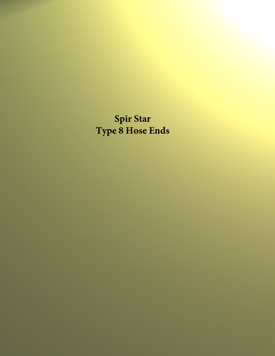**Spir Star Type 8 Hose Ends**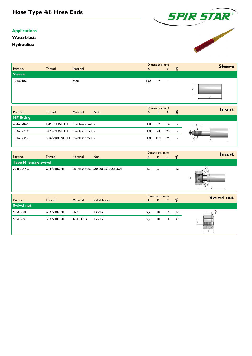## **Hose Type 4/8 Hose Ends**

## **Applications**

**Waterblast:**

**Hydraulics:**



|                   |                          |                   |            |              | Dimensions (mm) |              | <b>Sleeve</b>            |               |
|-------------------|--------------------------|-------------------|------------|--------------|-----------------|--------------|--------------------------|---------------|
| Part no.          | <b>Thread</b>            | <b>Material</b>   |            | $\mathsf{A}$ | B               | $\mathsf{C}$ | ೪                        |               |
| <b>Sleeve</b>     |                          |                   |            |              |                 |              |                          |               |
| 10480102          | $\overline{\phantom{a}}$ | Steel             |            | 19,5         | 49              |              |                          |               |
|                   |                          |                   |            |              |                 |              |                          |               |
|                   |                          |                   |            |              | Dimensions (mm) |              |                          |               |
| Part no.          | <b>Thread</b>            | <b>Material</b>   | <b>Nut</b> | A            | B               | $\mathsf{C}$ | ೪                        | <b>Insert</b> |
| <b>HP</b> fitting |                          |                   |            |              |                 |              |                          |               |
| 40460204C         | I/4"x28UNF LH            | Stainless steel - |            | 1,8          | 82              | 4            | $\blacksquare$           |               |
| 40460224C         | 3/8"x24UNF LH            | Stainless steel - |            | 1,8          | 90              | 20           | $\overline{\phantom{a}}$ |               |

|                             |               |            |                                    |     | Dimensions (mm) |                 |                          |    | <b>Insert</b>     |
|-----------------------------|---------------|------------|------------------------------------|-----|-----------------|-----------------|--------------------------|----|-------------------|
| Part no.                    | <b>Thread</b> | Material   | <b>Nut</b>                         | A   |                 | B               | C                        | ೪  |                   |
| <b>Type M female swivel</b> |               |            |                                    |     |                 |                 |                          |    |                   |
| 20460644C                   | 9/16"x18UNF   |            | Stainless steel 50560605, 50560601 | 1,8 |                 | 63              | $\overline{\phantom{0}}$ | 22 |                   |
|                             |               |            |                                    |     |                 | Dimensions (mm) |                          |    | <b>Swivel nut</b> |
| Part no.                    | <b>Thread</b> | Material   | <b>Relief bores</b>                | A   |                 | B               | C                        | ೪  |                   |
| <b>Swivel nut</b>           |               |            |                                    |     |                 |                 |                          |    |                   |
| 50560601                    | 9/16"x18UNF   | Steel      | I radial                           | 9,2 |                 | 18              | 4                        | 22 |                   |
| 50560605                    | 9/16"x18UNF   | AISI 316Ti | radial                             | 9,2 |                 | 18              | 4                        | 22 |                   |